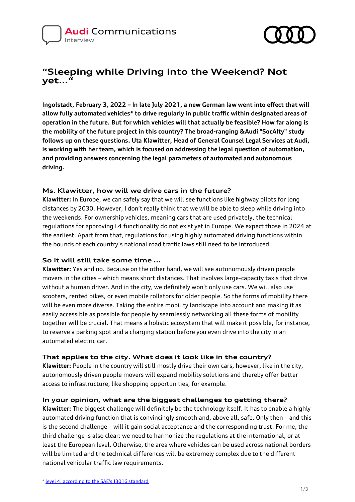

# **"Sleeping while Driving into the Weekend? Not yet…"**

**Ingolstadt, February 3, 2022 – In late July 2021, a new German law went into effect that will allow fully automated vehicles\* to drive regularly in public traffic within designated areas of operation in the future. But for which vehicles will that actually be feasible? How far along is the mobility of the future project in this country? The broad-ranging &Audi "SocAIty" study follows up on these questions. Uta Klawitter, Head of General Counsel Legal Services at Audi, is working with her team, which is focused on addressing the legal question of automation, and providing answers concerning the legal parameters of automated and autonomous driving.**

### **Ms. Klawitter, how will we drive cars in the future?**

**Klawitter:** In Europe, we can safely say that we will see functions like highway pilots for long distances by 2030. However, I don't really think that we will be able to sleep while driving into the weekends. For ownership vehicles, meaning cars that are used privately, the technical regulations for approving L4 functionality do not exist yet in Europe. We expect those in 2024 at the earliest. Apart from that, regulations for using highly automated driving functions within the bounds of each country's national road traffic laws still need to be introduced.

### **So it will still take some time ...**

**Klawitter:** Yes and no. Because on the other hand, we will see autonomously driven people movers in the cities – which means short distances. That involves large-capacity taxis that drive without a human driver. And in the city, we definitely won't only use cars. We will also use scooters, rented bikes, or even mobile rollators for older people. So the forms of mobility there will be even more diverse. Taking the entire mobility landscape into account and making it as easily accessible as possible for people by seamlessly networking all these forms of mobility together will be crucial. That means a holistic ecosystem that will make it possible, for instance, to reserve a parking spot and a charging station before you even drive into the city in an automated electric car.

### **That applies to the city. What does it look like in the country?**

**Klawitter:** People in the country will still mostly drive their own cars, however, like in the city, autonomously driven people movers will expand mobility solutions and thereby offer better access to infrastructure, like shopping opportunities, for example.

### **In your opinion, what are the biggest challenges to getting there?**

**Klawitter:** The biggest challenge will definitely be the technology itself. It has to enable a highly automated driving function that is convincingly smooth and, above all, safe. Only then – and this is the second challenge – will it gain social acceptance and the corresponding trust. For me, the third challenge is also clear: we need to harmonize the regulations at the international, or at least the European level. Otherwise, the area where vehicles can be used across national borders will be limited and the technical differences will be extremely complex due to the different national vehicular traffic law requirements.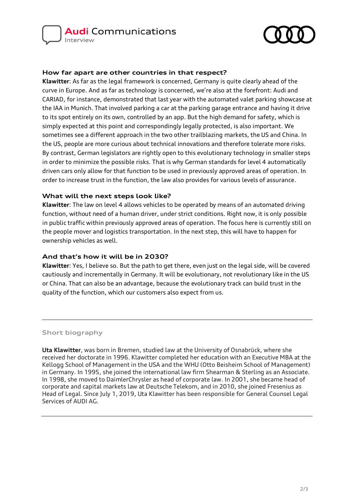

## **How far apart are other countries in that respect?**

**Klawitter**: As far as the legal framework is concerned, Germany is quite clearly ahead of the curve in Europe. And as far as technology is concerned, we're also at the forefront: Audi and CARIAD, for instance, demonstrated that last year with the automated valet parking showcase at the IAA in Munich. That involved parking a car at the parking garage entrance and having it drive to its spot entirely on its own, controlled by an app. But the high demand for safety, which is simply expected at this point and correspondingly legally protected, is also important. We sometimes see a different approach in the two other trailblazing markets, the US and China. In the US, people are more curious about technical innovations and therefore tolerate more risks. By contrast, German legislators are rightly open to this evolutionary technology in smaller steps in order to minimize the possible risks. That is why German standards for level 4 automatically driven cars only allow for that function to be used in previously approved areas of operation. In order to increase trust in the function, the law also provides for various levels of assurance.

### **What will the next steps look like?**

**Klawitter**: The law on level 4 allows vehicles to be operated by means of an automated driving function, without need of a human driver, under strict conditions. Right now, it is only possible in public traffic within previously approved areas of operation. The focus here is currently still on the people mover and logistics transportation. In the next step, this will have to happen for ownership vehicles as well.

## **And that's how it will be in 2030?**

**Klawitter**: Yes, I believe so. But the path to get there, even just on the legal side, will be covered cautiously and incrementally in Germany. It will be evolutionary, not revolutionary like in the US or China. That can also be an advantage, because the evolutionary track can build trust in the quality of the function, which our customers also expect from us.

#### **Short biography**

**Uta Klawitter**, was born in Bremen, studied law at the University of Osnabrück, where she received her doctorate in 1996. Klawitter completed her education with an Executive MBA at the Kellogg School of Management in the USA and the WHU (Otto Beisheim School of Management) in Germany. In 1995, she joined the international law firm Shearman & Sterling as an Associate. In 1998, she moved to DaimlerChrysler as head of corporate law. In 2001, she became head of corporate and capital markets law at Deutsche Telekom, and in 2010, she joined Fresenius as Head of Legal. Since July 1, 2019, Uta Klawitter has been responsible for General Counsel Legal Services of AUDI AG.